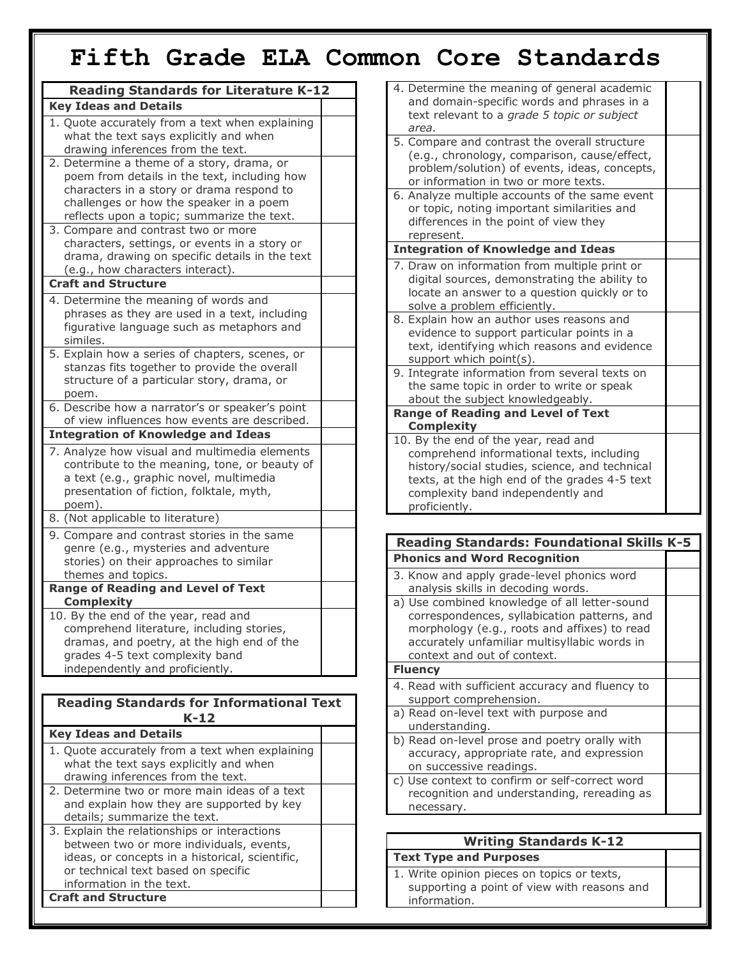## **Fifth Grade ELA Common Core Standards**

| <b>Reading Standards for Literature K-12</b>                                                    | 4. Determine the meaning of general academic                                                 |  |
|-------------------------------------------------------------------------------------------------|----------------------------------------------------------------------------------------------|--|
| <b>Key Ideas and Details</b>                                                                    | and domain-specific words and phrases in a                                                   |  |
| 1. Quote accurately from a text when explaining                                                 | text relevant to a grade 5 topic or subject<br>area.                                         |  |
| what the text says explicitly and when                                                          | 5. Compare and contrast the overall structure                                                |  |
| drawing inferences from the text.                                                               | (e.g., chronology, comparison, cause/effect,                                                 |  |
| 2. Determine a theme of a story, drama, or<br>poem from details in the text, including how      | problem/solution) of events, ideas, concepts,                                                |  |
| characters in a story or drama respond to                                                       | or information in two or more texts.                                                         |  |
| challenges or how the speaker in a poem                                                         | 6. Analyze multiple accounts of the same event                                               |  |
| reflects upon a topic; summarize the text.                                                      | or topic, noting important similarities and<br>differences in the point of view they         |  |
| 3. Compare and contrast two or more                                                             | represent.                                                                                   |  |
| characters, settings, or events in a story or                                                   | <b>Integration of Knowledge and Ideas</b>                                                    |  |
| drama, drawing on specific details in the text                                                  | 7. Draw on information from multiple print or                                                |  |
| (e.g., how characters interact).<br><b>Craft and Structure</b>                                  | digital sources, demonstrating the ability to                                                |  |
|                                                                                                 | locate an answer to a question quickly or to                                                 |  |
| 4. Determine the meaning of words and<br>phrases as they are used in a text, including          | solve a problem efficiently.                                                                 |  |
| figurative language such as metaphors and                                                       | 8. Explain how an author uses reasons and                                                    |  |
| similes.                                                                                        | evidence to support particular points in a                                                   |  |
| 5. Explain how a series of chapters, scenes, or                                                 | text, identifying which reasons and evidence<br>support which point(s).                      |  |
| stanzas fits together to provide the overall                                                    | 9. Integrate information from several texts on                                               |  |
| structure of a particular story, drama, or                                                      | the same topic in order to write or speak                                                    |  |
| poem.                                                                                           | about the subject knowledgeably.                                                             |  |
| 6. Describe how a narrator's or speaker's point<br>of view influences how events are described. | <b>Range of Reading and Level of Text</b>                                                    |  |
| <b>Integration of Knowledge and Ideas</b>                                                       | <b>Complexity</b>                                                                            |  |
| 7. Analyze how visual and multimedia elements                                                   | 10. By the end of the year, read and<br>comprehend informational texts, including            |  |
| contribute to the meaning, tone, or beauty of                                                   | history/social studies, science, and technical                                               |  |
| a text (e.g., graphic novel, multimedia                                                         | texts, at the high end of the grades 4-5 text                                                |  |
| presentation of fiction, folktale, myth,                                                        | complexity band independently and                                                            |  |
| poem).                                                                                          | proficiently.                                                                                |  |
| 8. (Not applicable to literature)                                                               |                                                                                              |  |
| 9. Compare and contrast stories in the same<br>genre (e.g., mysteries and adventure             | <b>Reading Standards: Foundational Skills K-5</b>                                            |  |
| stories) on their approaches to similar                                                         | <b>Phonics and Word Recognition</b>                                                          |  |
| themes and topics.                                                                              | 3. Know and apply grade-level phonics word                                                   |  |
| <b>Range of Reading and Level of Text</b>                                                       | analysis skills in decoding words.                                                           |  |
| <b>Complexity</b>                                                                               | a) Use combined knowledge of all letter-sound                                                |  |
| 10. By the end of the year, read and                                                            | correspondences, syllabication patterns, and                                                 |  |
| comprehend literature, including stories,<br>dramas, and poetry, at the high end of the         | morphology (e.g., roots and affixes) to read<br>accurately unfamiliar multisyllabic words in |  |
| grades 4-5 text complexity band                                                                 | context and out of context.                                                                  |  |
| independently and proficiently.                                                                 | <b>Fluency</b>                                                                               |  |
|                                                                                                 | 4. Read with sufficient accuracy and fluency to                                              |  |
| <b>Reading Standards for Informational Text</b>                                                 | support comprehension.                                                                       |  |
| $K-12$                                                                                          | a) Read on-level text with purpose and                                                       |  |
| <b>Key Ideas and Details</b>                                                                    | understanding.                                                                               |  |
| 1. Quote accurately from a text when explaining                                                 | b) Read on-level prose and poetry orally with                                                |  |
| what the text says explicitly and when                                                          | accuracy, appropriate rate, and expression<br>on successive readings.                        |  |
| drawing inferences from the text.                                                               | c) Use context to confirm or self-correct word                                               |  |
| 2. Determine two or more main ideas of a text                                                   | recognition and understanding, rereading as                                                  |  |
| and explain how they are supported by key                                                       | necessary.                                                                                   |  |
| details; summarize the text.                                                                    |                                                                                              |  |
| 3. Explain the relationships or interactions<br>between two or more individuals, events,        | <b>Writing Standards K-12</b>                                                                |  |
| ideas, or concepts in a historical, scientific,                                                 | <b>Text Type and Purposes</b>                                                                |  |
| or technical text based on specific                                                             | 1. Write opinion pieces on topics or texts,                                                  |  |
|                                                                                                 |                                                                                              |  |
| information in the text.                                                                        |                                                                                              |  |
| <b>Craft and Structure</b>                                                                      | supporting a point of view with reasons and<br>information.                                  |  |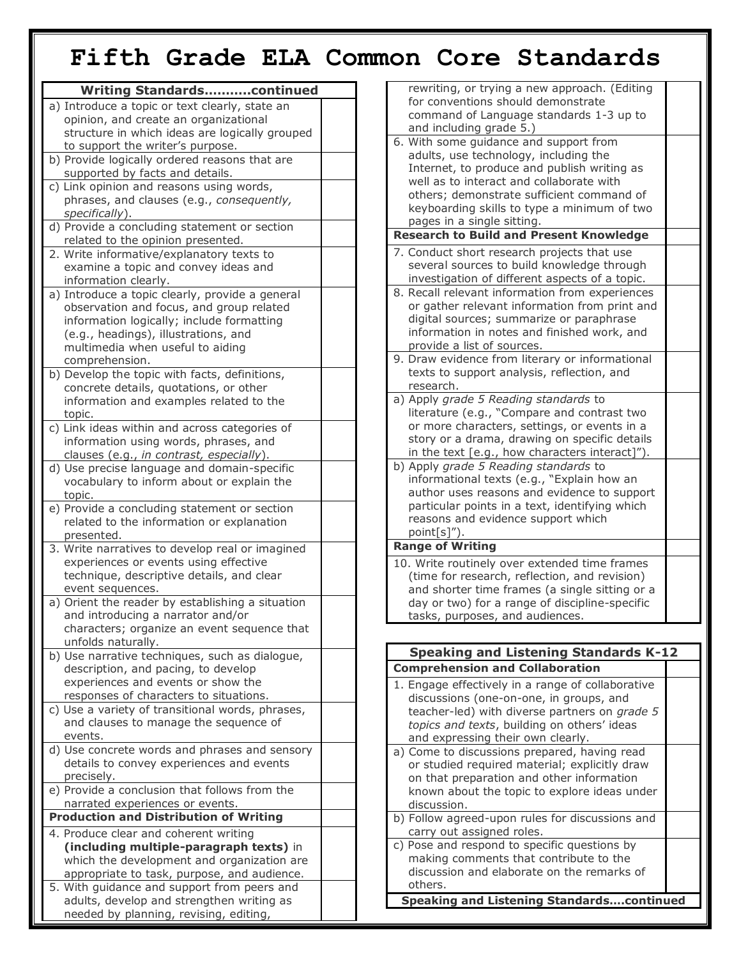## **Fifth Grade ELA Common Core Standards**

| Writing Standardscontinued                                                               |  |
|------------------------------------------------------------------------------------------|--|
| a) Introduce a topic or text clearly, state an                                           |  |
| opinion, and create an organizational                                                    |  |
| structure in which ideas are logically grouped                                           |  |
| to support the writer's purpose.                                                         |  |
| b) Provide logically ordered reasons that are<br>supported by facts and details.         |  |
| c) Link opinion and reasons using words,                                                 |  |
| phrases, and clauses (e.g., consequently,                                                |  |
| specifically).                                                                           |  |
| d) Provide a concluding statement or section                                             |  |
| related to the opinion presented.                                                        |  |
| 2. Write informative/explanatory texts to                                                |  |
| examine a topic and convey ideas and<br>information clearly.                             |  |
| a) Introduce a topic clearly, provide a general                                          |  |
| observation and focus, and group related                                                 |  |
| information logically; include formatting                                                |  |
| (e.g., headings), illustrations, and                                                     |  |
| multimedia when useful to aiding                                                         |  |
| comprehension.                                                                           |  |
| b) Develop the topic with facts, definitions,<br>concrete details, quotations, or other  |  |
| information and examples related to the                                                  |  |
| topic.                                                                                   |  |
| c) Link ideas within and across categories of                                            |  |
| information using words, phrases, and                                                    |  |
| clauses (e.g., in contrast, especially).                                                 |  |
| d) Use precise language and domain-specific                                              |  |
| vocabulary to inform about or explain the<br>topic.                                      |  |
| e) Provide a concluding statement or section                                             |  |
| related to the information or explanation                                                |  |
| presented.                                                                               |  |
| 3. Write narratives to develop real or imagined                                          |  |
| experiences or events using effective<br>technique, descriptive details, and clear       |  |
| event sequences.                                                                         |  |
| a) Orient the reader by establishing a situation                                         |  |
| and introducing a narrator and/or                                                        |  |
| characters; organize an event sequence that                                              |  |
| unfolds naturally.                                                                       |  |
| b) Use narrative techniques, such as dialogue,                                           |  |
| description, and pacing, to develop<br>experiences and events or show the                |  |
| responses of characters to situations.                                                   |  |
| c) Use a variety of transitional words, phrases,                                         |  |
| and clauses to manage the sequence of                                                    |  |
| events.                                                                                  |  |
| d) Use concrete words and phrases and sensory                                            |  |
| details to convey experiences and events                                                 |  |
| precisely.<br>e) Provide a conclusion that follows from the                              |  |
| narrated experiences or events.                                                          |  |
| <b>Production and Distribution of Writing</b>                                            |  |
| 4. Produce clear and coherent writing                                                    |  |
| (including multiple-paragraph texts) in                                                  |  |
| which the development and organization are                                               |  |
| appropriate to task, purpose, and audience.                                              |  |
| 5. With guidance and support from peers and<br>adults, develop and strengthen writing as |  |
| needed by planning, revising, editing,                                                   |  |
|                                                                                          |  |

| rewriting, or trying a new approach. (Editing<br>for conventions should demonstrate<br>command of Language standards 1-3 up to |  |
|--------------------------------------------------------------------------------------------------------------------------------|--|
| and including grade 5.)                                                                                                        |  |
| 6. With some guidance and support from<br>adults, use technology, including the                                                |  |
| Internet, to produce and publish writing as                                                                                    |  |
| well as to interact and collaborate with                                                                                       |  |
| others; demonstrate sufficient command of                                                                                      |  |
| keyboarding skills to type a minimum of two                                                                                    |  |
| pages in a single sitting.                                                                                                     |  |
| <b>Research to Build and Present Knowledge</b>                                                                                 |  |
| 7. Conduct short research projects that use                                                                                    |  |
| several sources to build knowledge through                                                                                     |  |
| investigation of different aspects of a topic.                                                                                 |  |
| 8. Recall relevant information from experiences                                                                                |  |
| or gather relevant information from print and                                                                                  |  |
| digital sources; summarize or paraphrase                                                                                       |  |
| information in notes and finished work, and                                                                                    |  |
| provide a list of sources.                                                                                                     |  |
| 9. Draw evidence from literary or informational                                                                                |  |
| texts to support analysis, reflection, and                                                                                     |  |
| research.                                                                                                                      |  |
| a) Apply grade 5 Reading standards to                                                                                          |  |
| literature (e.g., "Compare and contrast two                                                                                    |  |
| or more characters, settings, or events in a                                                                                   |  |
| story or a drama, drawing on specific details                                                                                  |  |
| in the text [e.g., how characters interact]").                                                                                 |  |
| b) Apply grade 5 Reading standards to                                                                                          |  |
| informational texts (e.g., "Explain how an                                                                                     |  |
| author uses reasons and evidence to support                                                                                    |  |
| particular points in a text, identifying which<br>reasons and evidence support which                                           |  |
| point[s]").                                                                                                                    |  |
| <b>Range of Writing</b>                                                                                                        |  |
| 10. Write routinely over extended time frames                                                                                  |  |
| (time for research, reflection, and revision)                                                                                  |  |
| and shorter time frames (a single sitting or a                                                                                 |  |
| day or two) for a range of discipline-specific                                                                                 |  |
|                                                                                                                                |  |
|                                                                                                                                |  |
| tasks, purposes, and audiences.                                                                                                |  |
|                                                                                                                                |  |
| <b>Speaking and Listening Standards K-12</b>                                                                                   |  |
| <b>Comprehension and Collaboration</b>                                                                                         |  |
| 1. Engage effectively in a range of collaborative                                                                              |  |
| discussions (one-on-one, in groups, and                                                                                        |  |
| teacher-led) with diverse partners on grade 5                                                                                  |  |
| topics and texts, building on others' ideas                                                                                    |  |
| and expressing their own clearly.                                                                                              |  |
| a) Come to discussions prepared, having read                                                                                   |  |
| or studied required material; explicitly draw                                                                                  |  |
| on that preparation and other information                                                                                      |  |
| known about the topic to explore ideas under                                                                                   |  |
| discussion.                                                                                                                    |  |
| b) Follow agreed-upon rules for discussions and                                                                                |  |
| carry out assigned roles.                                                                                                      |  |
| c) Pose and respond to specific questions by                                                                                   |  |
| making comments that contribute to the                                                                                         |  |
| discussion and elaborate on the remarks of                                                                                     |  |
| others.<br><b>Speaking and Listening Standardscontinued</b>                                                                    |  |